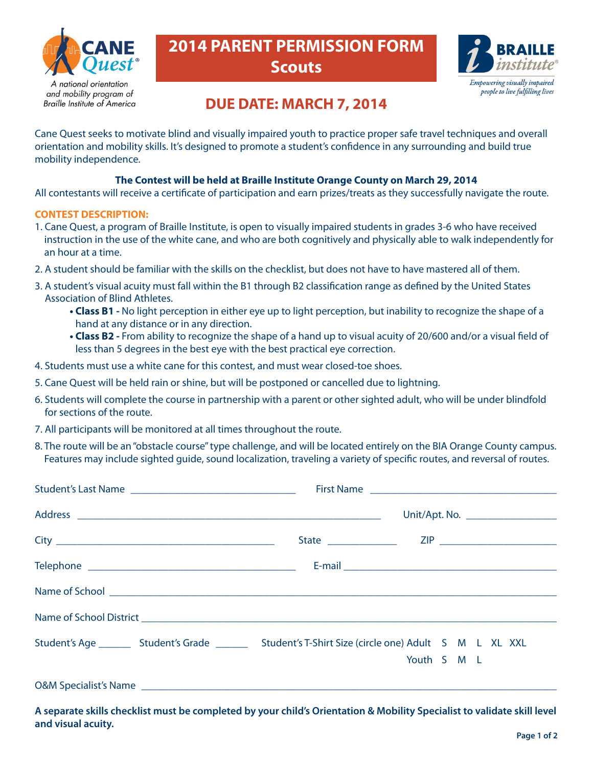

**Braille Institute of America** 

# **2014 PARENT PERMISSION FORM Scouts**



### **DUE DATE: MARCH 7, 2014**

Cane Quest seeks to motivate blind and visually impaired youth to practice proper safe travel techniques and overall orientation and mobility skills. It's designed to promote a student's confidence in any surrounding and build true mobility independence.

### **The Contest will be held at Braille Institute Orange County on March 29, 2014**

All contestants will receive a certificate of participation and earn prizes/treats as they successfully navigate the route.

#### **CONTEST DESCRIPTION:**

- 1. Cane Quest, a program of Braille Institute, is open to visually impaired students in grades 3-6 who have received instruction in the use of the white cane, and who are both cognitively and physically able to walk independently for an hour at a time.
- 2. A student should be familiar with the skills on the checklist, but does not have to have mastered all of them.
- 3. A student's visual acuity must fall within the B1 through B2 classification range as defined by the United States Association of Blind Athletes.
	- **Class B1 -** No light perception in either eye up to light perception, but inability to recognize the shape of a hand at any distance or in any direction.
	- **Class B2 -** From ability to recognize the shape of a hand up to visual acuity of 20/600 and/or a visual field of less than 5 degrees in the best eye with the best practical eye correction.
- 4. Students must use a white cane for this contest, and must wear closed-toe shoes.
- 5. Cane Quest will be held rain or shine, but will be postponed or cancelled due to lightning.
- 6. Students will complete the course in partnership with a parent or other sighted adult, who will be under blindfold for sections of the route.
- 7. All participants will be monitored at all times throughout the route.
- 8. The route will be an "obstacle course" type challenge, and will be located entirely on the BIA Orange County campus. Features may include sighted guide, sound localization, traveling a variety of specific routes, and reversal of routes.

|                                                                                                               | Unit/Apt. No. ____________________ |             |  |  |  |  |
|---------------------------------------------------------------------------------------------------------------|------------------------------------|-------------|--|--|--|--|
|                                                                                                               |                                    |             |  |  |  |  |
|                                                                                                               |                                    |             |  |  |  |  |
|                                                                                                               |                                    |             |  |  |  |  |
|                                                                                                               |                                    |             |  |  |  |  |
| Student's Age __________ Student's Grade _____________ Student's T-Shirt Size (circle one) Adult S M L XL XXL |                                    |             |  |  |  |  |
|                                                                                                               |                                    | Youth S M L |  |  |  |  |
|                                                                                                               |                                    |             |  |  |  |  |

**A separate skills checklist must be completed by your child's Orientation & Mobility Specialist to validate skill level and visual acuity.**